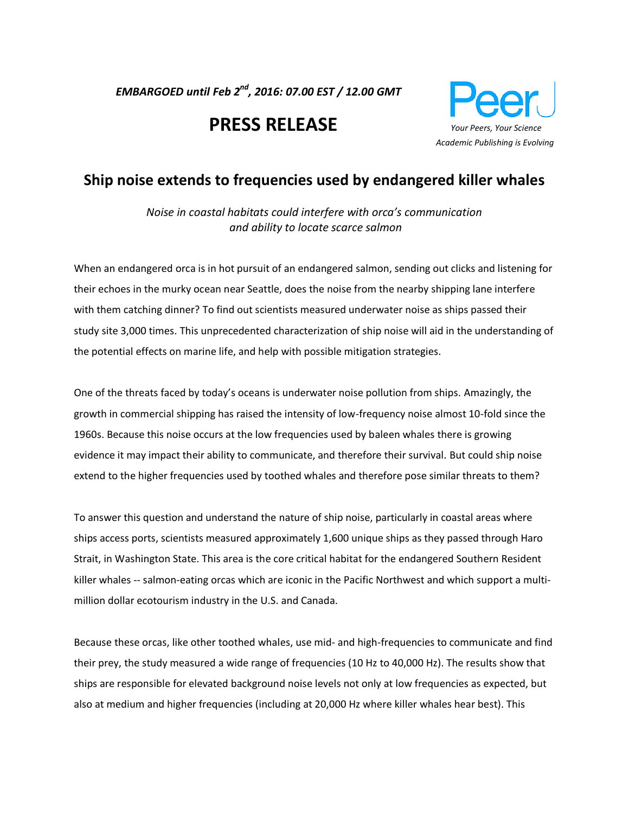*EMBARGOED until Feb 2nd, 2016: 07.00 EST / 12.00 GMT* 

# **PRESS RELEASE** *Your Peers, Your Science*



# **Ship noise extends to frequencies used by endangered killer whales**

*Noise in coastal habitats could interfere with orca's communication and ability to locate scarce salmon*

When an endangered orca is in hot pursuit of an endangered salmon, sending out clicks and listening for their echoes in the murky ocean near Seattle, does the noise from the nearby shipping lane interfere with them catching dinner? To find out scientists measured underwater noise as ships passed their study site 3,000 times. This unprecedented characterization of ship noise will aid in the understanding of the potential effects on marine life, and help with possible mitigation strategies.

One of the threats faced by today's oceans is underwater noise pollution from ships. Amazingly, the growth in commercial shipping has raised the intensity of low-frequency noise almost 10-fold since the 1960s. Because this noise occurs at the low frequencies used by baleen whales there is growing evidence it may impact their ability to communicate, and therefore their survival. But could ship noise extend to the higher frequencies used by toothed whales and therefore pose similar threats to them?

To answer this question and understand the nature of ship noise, particularly in coastal areas where ships access ports, scientists measured approximately 1,600 unique ships as they passed through Haro Strait, in Washington State. This area is the core critical habitat for the endangered Southern Resident killer whales -- salmon-eating orcas which are iconic in the Pacific Northwest and which support a multimillion dollar ecotourism industry in the U.S. and Canada.

Because these orcas, like other toothed whales, use mid- and high-frequencies to communicate and find their prey, the study measured a wide range of frequencies (10 Hz to 40,000 Hz). The results show that ships are responsible for elevated background noise levels not only at low frequencies as expected, but also at medium and higher frequencies (including at 20,000 Hz where killer whales hear best). This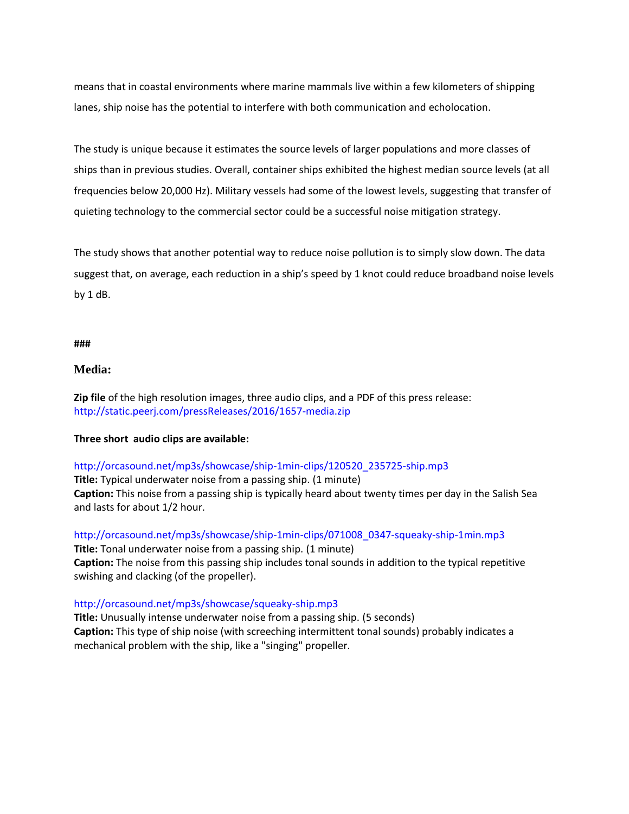means that in coastal environments where marine mammals live within a few kilometers of shipping lanes, ship noise has the potential to interfere with both communication and echolocation.

The study is unique because it estimates the source levels of larger populations and more classes of ships than in previous studies. Overall, container ships exhibited the highest median source levels (at all frequencies below 20,000 Hz). Military vessels had some of the lowest levels, suggesting that transfer of quieting technology to the commercial sector could be a successful noise mitigation strategy.

The study shows that another potential way to reduce noise pollution is to simply slow down. The data suggest that, on average, each reduction in a ship's speed by 1 knot could reduce broadband noise levels by 1 dB.

#### **###**

#### **Media:**

**Zip file** of the high resolution images, three audio clips, and a PDF of this press release: <http://static.peerj.com/pressReleases/2016/1657-media.zip>

#### **Three short audio clips are available:**

#### [http://orcasound.net/mp3s/showcase/ship-1min-clips/120520\\_235725-ship.mp3](http://orcasound.net/mp3s/showcase/ship-1min-clips/120520_235725-ship.mp3)

**Title:** Typical underwater noise from a passing ship. (1 minute) **Caption:** This noise from a passing ship is typically heard about twenty times per day in the Salish Sea and lasts for about 1/2 hour.

[http://orcasound.net/mp3s/showcase/ship-1min-clips/071008\\_0347-squeaky-ship-1min.mp3](http://orcasound.net/mp3s/showcase/ship-1min-clips/071008_0347-squeaky-ship-1min.mp3) **Title:** Tonal underwater noise from a passing ship. (1 minute) **Caption:** The noise from this passing ship includes tonal sounds in addition to the typical repetitive swishing and clacking (of the propeller).

#### <http://orcasound.net/mp3s/showcase/squeaky-ship.mp3>

**Title:** Unusually intense underwater noise from a passing ship. (5 seconds) **Caption:** This type of ship noise (with screeching intermittent tonal sounds) probably indicates a mechanical problem with the ship, like a "singing" propeller.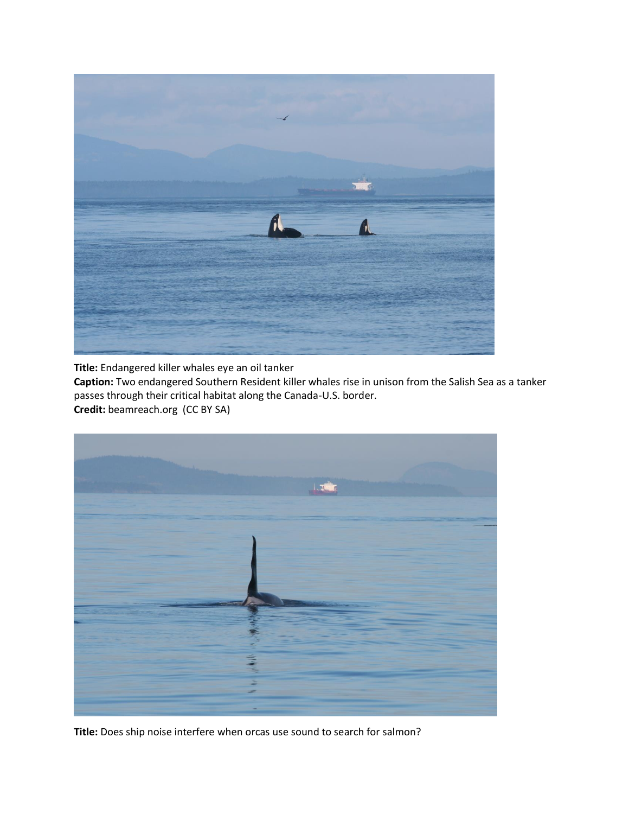

**Title:** Endangered killer whales eye an oil tanker

**Caption:** Two endangered Southern Resident killer whales rise in unison from the Salish Sea as a tanker passes through their critical habitat along the Canada-U.S. border. **Credit:** beamreach.org (CC BY SA)



**Title:** Does ship noise interfere when orcas use sound to search for salmon?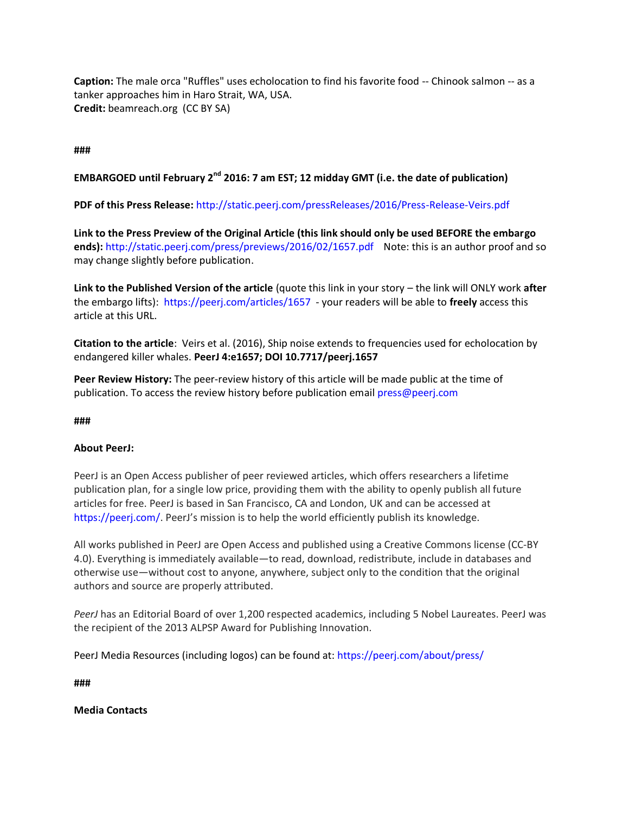**Caption:** The male orca "Ruffles" uses echolocation to find his favorite food -- Chinook salmon -- as a tanker approaches him in Haro Strait, WA, USA. **Credit:** beamreach.org (CC BY SA)

## **###**

# **EMBARGOED until February 2nd 2016: 7 am EST; 12 midday GMT (i.e. the date of publication)**

**PDF of this Press Release:** <http://static.peerj.com/pressReleases/2016/Press-Release-Veirs.pdf>

**Link to the Press Preview of the Original Article (this link should only be used BEFORE the embargo ends):** <http://static.peerj.com/press/previews/2016/02/1657.pdf> Note: this is an author proof and so may change slightly before publication.

**Link to the Published Version of the article** (quote this link in your story – the link will ONLY work **after** the embargo lifts):<https://peerj.com/articles/1657> - your readers will be able to **freely** access this article at this URL.

**Citation to the article**: Veirs et al. (2016), Ship noise extends to frequencies used for echolocation by endangered killer whales. **PeerJ 4:e1657; DOI 10.7717/peerj.1657**

**Peer Review History:** The peer-review history of this article will be made public at the time of publication. To access the review history before publication emai[l press@peerj.com](mailto:press@peerj.com)

#### **###**

## **About PeerJ:**

PeerJ is an Open Access publisher of peer reviewed articles, which offers researchers a lifetime publication plan, for a single low price, providing them with the ability to openly publish all future articles for free. PeerJ is based in San Francisco, CA and London, UK and can be accessed at [https://peerj.com/.](https://peerj.com/) PeerJ's mission is to help the world efficiently publish its knowledge.

All works published in PeerJ are Open Access and published using a Creative Commons license (CC-BY 4.0). Everything is immediately available—to read, download, redistribute, include in databases and otherwise use—without cost to anyone, anywhere, subject only to the condition that the original authors and source are properly attributed.

*PeerJ* has an Editorial Board of over 1,200 respected academics, including 5 Nobel Laureates. PeerJ was the recipient of the 2013 ALPSP Award for Publishing Innovation.

PeerJ Media Resources (including logos) can be found at:<https://peerj.com/about/press/>

**###**

**Media Contacts**